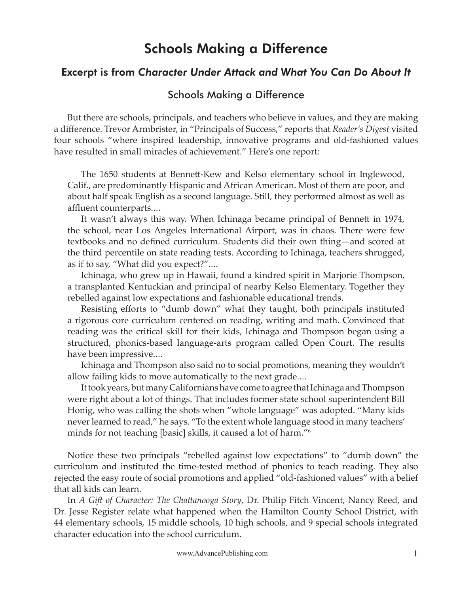# Schools Making a Difference

## Excerpt is from *Character Under Attack and What You Can Do About It*

## Schools Making a Difference

But there are schools, principals, and teachers who believe in values, and they are making a difference. Trevor Armbrister, in "Principals of Success," reports that *Reader's Digest* visited four schools "where inspired leadership, innovative programs and old-fashioned values have resulted in small miracles of achievement." Here's one report:

The 1650 students at Bennett-Kew and Kelso elementary school in Inglewood, Calif., are predominantly Hispanic and African American. Most of them are poor, and about half speak English as a second language. Still, they performed almost as well as affluent counterparts....

It wasn't always this way. When Ichinaga became principal of Bennett in 1974, the school, near Los Angeles International Airport, was in chaos. There were few textbooks and no defined curriculum. Students did their own thing—and scored at the third percentile on state reading tests. According to Ichinaga, teachers shrugged, as if to say, "What did you expect?"....

Ichinaga, who grew up in Hawaii, found a kindred spirit in Marjorie Thompson, a transplanted Kentuckian and principal of nearby Kelso Elementary. Together they rebelled against low expectations and fashionable educational trends.

Resisting efforts to "dumb down" what they taught, both principals instituted a rigorous core curriculum centered on reading, writing and math. Convinced that reading was the critical skill for their kids, Ichinaga and Thompson began using a structured, phonics-based language-arts program called Open Court. The results have been impressive....

Ichinaga and Thompson also said no to social promotions, meaning they wouldn't allow failing kids to move automatically to the next grade....

It took years, but many Californians have come to agree that Ichinaga and Thompson were right about a lot of things. That includes former state school superintendent Bill Honig, who was calling the shots when "whole language" was adopted. "Many kids never learned to read," he says. "To the extent whole language stood in many teachers' minds for not teaching [basic] skills, it caused a lot of harm."6

Notice these two principals "rebelled against low expectations" to "dumb down" the curriculum and instituted the time-tested method of phonics to teach reading. They also rejected the easy route of social promotions and applied "old-fashioned values" with a belief that all kids can learn.

In *A Gift of Character: The Chattanooga Story, Dr. Philip Fitch Vincent, Nancy Reed, and* Dr. Jesse Register relate what happened when the Hamilton County School District, with 44 elementary schools, 15 middle schools, 10 high schools, and 9 special schools integrated character education into the school curriculum.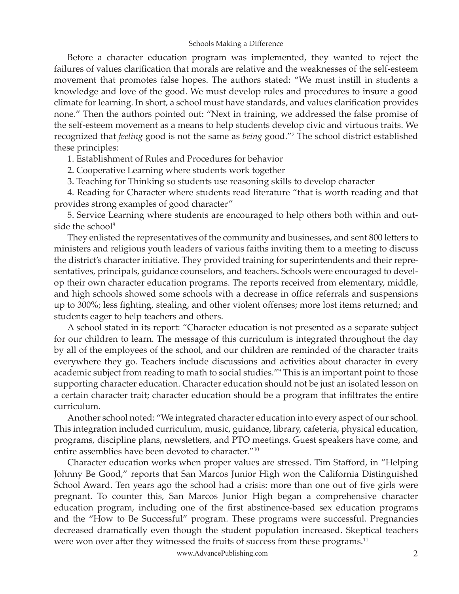### Schools Making a Difference

Before a character education program was implemented, they wanted to reject the failures of values clarification that morals are relative and the weaknesses of the self-esteem movement that promotes false hopes. The authors stated: "We must instill in students a knowledge and love of the good. We must develop rules and procedures to insure a good climate for learning. In short, a school must have standards, and values clarification provides none." Then the authors pointed out: "Next in training, we addressed the false promise of the self-esteem movement as a means to help students develop civic and virtuous traits. We recognized that *feeling* good is not the same as *being* good."7 The school district established these principles:

1. Establishment of Rules and Procedures for behavior

2. Cooperative Learning where students work together

3. Teaching for Thinking so students use reasoning skills to develop character

4. Reading for Character where students read literature "that is worth reading and that provides strong examples of good character"

5. Service Learning where students are encouraged to help others both within and outside the school<sup>8</sup>

They enlisted the representatives of the community and businesses, and sent 800 letters to ministers and religious youth leaders of various faiths inviting them to a meeting to discuss the district's character initiative. They provided training for superintendents and their representatives, principals, guidance counselors, and teachers. Schools were encouraged to develop their own character education programs. The reports received from elementary, middle, and high schools showed some schools with a decrease in office referrals and suspensions up to 300%; less fighting, stealing, and other violent offenses; more lost items returned; and students eager to help teachers and others.

A school stated in its report: "Character education is not presented as a separate subject for our children to learn. The message of this curriculum is integrated throughout the day by all of the employees of the school, and our children are reminded of the character traits everywhere they go. Teachers include discussions and activities about character in every academic subject from reading to math to social studies."9 This is an important point to those supporting character education. Character education should not be just an isolated lesson on a certain character trait; character education should be a program that infiltrates the entire curriculum.

Another school noted: "We integrated character education into every aspect of our school. This integration included curriculum, music, guidance, library, cafeteria, physical education, programs, discipline plans, newsletters, and PTO meetings. Guest speakers have come, and entire assemblies have been devoted to character."10

Character education works when proper values are stressed. Tim Stafford, in "Helping Johnny Be Good," reports that San Marcos Junior High won the California Distinguished School Award. Ten years ago the school had a crisis: more than one out of five girls were pregnant. To counter this, San Marcos Junior High began a comprehensive character education program, including one of the first abstinence-based sex education programs and the "How to Be Successful" program. These programs were successful. Pregnancies decreased dramatically even though the student population increased. Skeptical teachers were won over after they witnessed the fruits of success from these programs.<sup>11</sup>